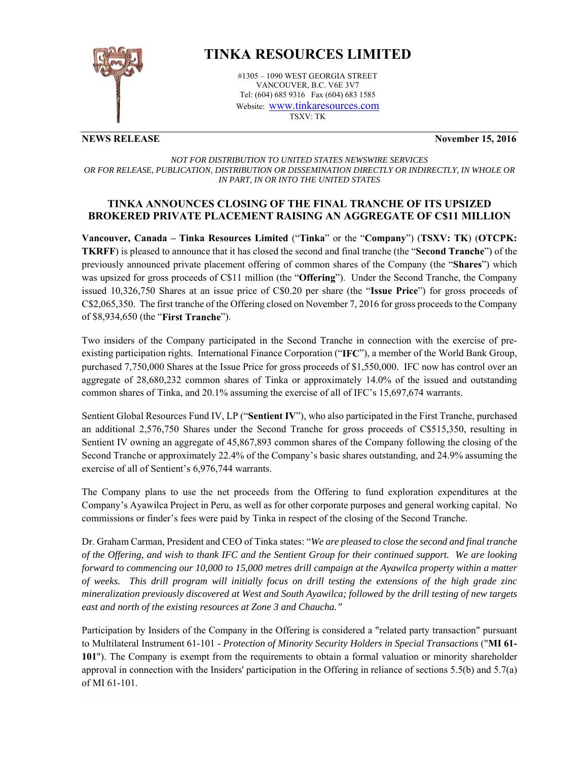

# **TINKA RESOURCES LIMITED**

#1305 – 1090 WEST GEORGIA STREET VANCOUVER, B.C. V6E 3V7 Tel: (604) 685 9316 Fax (604) 683 1585 Website: www.tinkaresources.com TSXV: TK

**NEWS RELEASE** November 15, 2016

# *NOT FOR DISTRIBUTION TO UNITED STATES NEWSWIRE SERVICES OR FOR RELEASE, PUBLICATION, DISTRIBUTION OR DISSEMINATION DIRECTLY OR INDIRECTLY, IN WHOLE OR IN PART, IN OR INTO THE UNITED STATES*

# **TINKA ANNOUNCES CLOSING OF THE FINAL TRANCHE OF ITS UPSIZED BROKERED PRIVATE PLACEMENT RAISING AN AGGREGATE OF C\$11 MILLION**

**Vancouver, Canada – Tinka Resources Limited** ("**Tinka**" or the "**Company**") (**TSXV: TK**) (**OTCPK: TKRFF**) is pleased to announce that it has closed the second and final tranche (the "**Second Tranche**") of the previously announced private placement offering of common shares of the Company (the "**Shares**") which was upsized for gross proceeds of C\$11 million (the "**Offering**"). Under the Second Tranche, the Company issued 10,326,750 Shares at an issue price of C\$0.20 per share (the "**Issue Price**") for gross proceeds of C\$2,065,350. The first tranche of the Offering closed on November 7, 2016 for gross proceeds to the Company of \$8,934,650 (the "**First Tranche**").

Two insiders of the Company participated in the Second Tranche in connection with the exercise of preexisting participation rights. International Finance Corporation ("**IFC**"), a member of the World Bank Group, purchased 7,750,000 Shares at the Issue Price for gross proceeds of \$1,550,000. IFC now has control over an aggregate of 28,680,232 common shares of Tinka or approximately 14.0% of the issued and outstanding common shares of Tinka, and 20.1% assuming the exercise of all of IFC's 15,697,674 warrants.

Sentient Global Resources Fund IV, LP ("**Sentient IV**"), who also participated in the First Tranche, purchased an additional 2,576,750 Shares under the Second Tranche for gross proceeds of C\$515,350, resulting in Sentient IV owning an aggregate of 45,867,893 common shares of the Company following the closing of the Second Tranche or approximately 22.4% of the Company's basic shares outstanding, and 24.9% assuming the exercise of all of Sentient's 6,976,744 warrants.

The Company plans to use the net proceeds from the Offering to fund exploration expenditures at the Company's Ayawilca Project in Peru, as well as for other corporate purposes and general working capital. No commissions or finder's fees were paid by Tinka in respect of the closing of the Second Tranche.

Dr. Graham Carman, President and CEO of Tinka states: "*We are pleased to close the second and final tranche of the Offering, and wish to thank IFC and the Sentient Group for their continued support. We are looking forward to commencing our 10,000 to 15,000 metres drill campaign at the Ayawilca property within a matter of weeks. This drill program will initially focus on drill testing the extensions of the high grade zinc mineralization previously discovered at West and South Ayawilca; followed by the drill testing of new targets east and north of the existing resources at Zone 3 and Chaucha."* 

Participation by Insiders of the Company in the Offering is considered a "related party transaction" pursuant to Multilateral Instrument 61-101 - *Protection of Minority Security Holders in Special Transactions* ("**MI 61- 101**"). The Company is exempt from the requirements to obtain a formal valuation or minority shareholder approval in connection with the Insiders' participation in the Offering in reliance of sections 5.5(b) and 5.7(a) of MI 61-101.